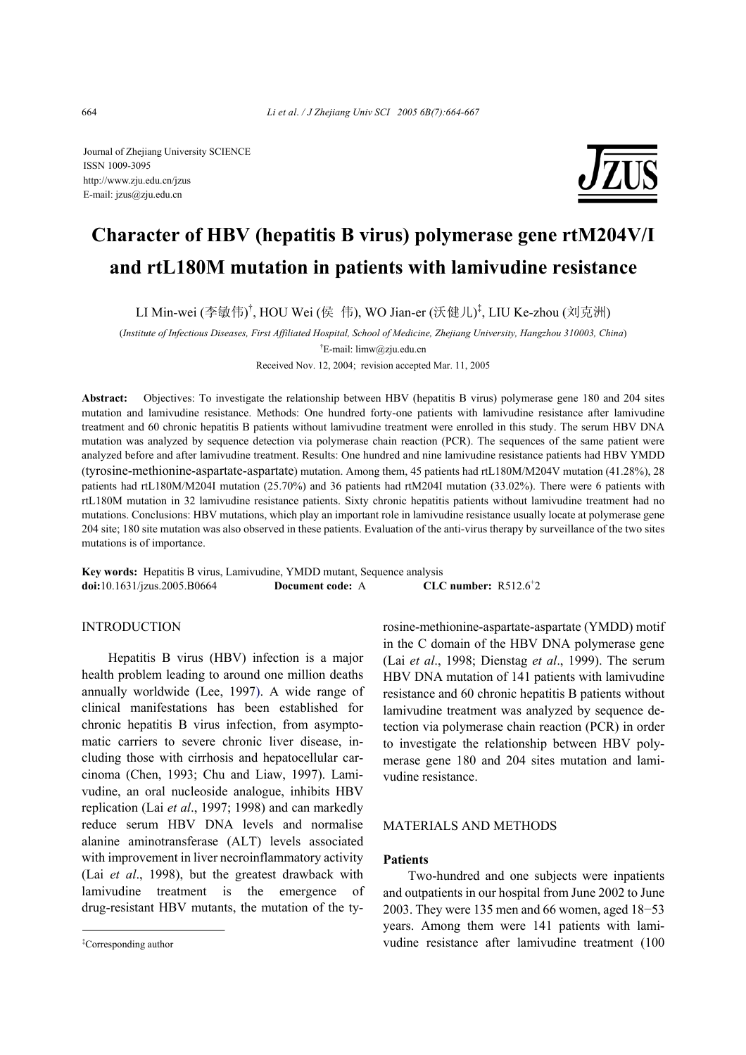Journal of Zhejiang University SCIENCE ISSN 1009-3095 http://www.zju.edu.cn/jzus E-mail: jzus@zju.edu.cn



# **Character of HBV (hepatitis B virus) polymerase gene rtM204V/I and rtL180M mutation in patients with lamivudine resistance**

LI Min-wei (李敏伟)<sup>†</sup>, HOU Wei (侯 伟), WO Jian-er (沃健儿)<sup>‡</sup>, LIU Ke-zhou (刘克洲)

(*Institute of Infectious Diseases, First Affiliated Hospital, School of Medicine, Zhejiang University, Hangzhou 310003, China*)

<sup>†</sup>E-mail: limw@zju.edu.cn

Received Nov. 12, 2004; revision accepted Mar. 11, 2005

**Abstract:** Objectives: To investigate the relationship between HBV (hepatitis B virus) polymerase gene 180 and 204 sites mutation and lamivudine resistance. Methods: One hundred forty-one patients with lamivudine resistance after lamivudine treatment and 60 chronic hepatitis B patients without lamivudine treatment were enrolled in this study. The serum HBV DNA mutation was analyzed by sequence detection via polymerase chain reaction (PCR). The sequences of the same patient were analyzed before and after lamivudine treatment. Results: One hundred and nine lamivudine resistance patients had HBV YMDD (tyrosine-methionine-aspartate-aspartate) mutation. Among them, 45 patients had rtL180M/M204V mutation (41.28%), 28 patients had rtL180M/M204I mutation (25.70%) and 36 patients had rtM204I mutation (33.02%). There were 6 patients with rtL180M mutation in 32 lamivudine resistance patients. Sixty chronic hepatitis patients without lamivudine treatment had no mutations. Conclusions: HBV mutations, which play an important role in lamivudine resistance usually locate at polymerase gene 204 site; 180 site mutation was also observed in these patients. Evaluation of the anti-virus therapy by surveillance of the two sites mutations is of importance.

**Key words:** Hepatitis B virus, Lamivudine, YMDD mutant, Sequence analysis **doi:**10.1631/jzus.2005.B0664 **Document code:** A CLC number:  $R512.6^+2$ 

## **INTRODUCTION**

Hepatitis B virus (HBV) infection is a major health problem leading to around one million deaths annually worldwide (Lee, 1997). A wide range of clinical manifestations has been established for chronic hepatitis B virus infection, from asymptomatic carriers to severe chronic liver disease, including those with cirrhosis and hepatocellular carcinoma (Chen, 1993; Chu and Liaw, 1997). Lamivudine, an oral nucleoside analogue, inhibits HBV replication (Lai *et al*., 1997; 1998) and can markedly reduce serum HBV DNA levels and normalise alanine aminotransferase (ALT) levels associated with improvement in liver necroinflammatory activity (Lai *et al*., 1998), but the greatest drawback with lamivudine treatment is the emergence of drug-resistant HBV mutants, the mutation of the tyrosine-methionine-aspartate-aspartate (YMDD) motif in the C domain of the HBV DNA polymerase gene (Lai *et al*., 1998; Dienstag *et al*., 1999). The serum HBV DNA mutation of 141 patients with lamivudine resistance and 60 chronic hepatitis B patients without lamivudine treatment was analyzed by sequence detection via polymerase chain reaction (PCR) in order to investigate the relationship between HBV polymerase gene 180 and 204 sites mutation and lamivudine resistance.

## MATERIALS AND METHODS

## **Patients**

Two-hundred and one subjects were inpatients and outpatients in our hospital from June 2002 to June 2003. They were 135 men and 66 women, aged 18−53 years. Among them were 141 patients with lamivudine resistance after lamivudine treatment (100

<sup>‡</sup> Corresponding author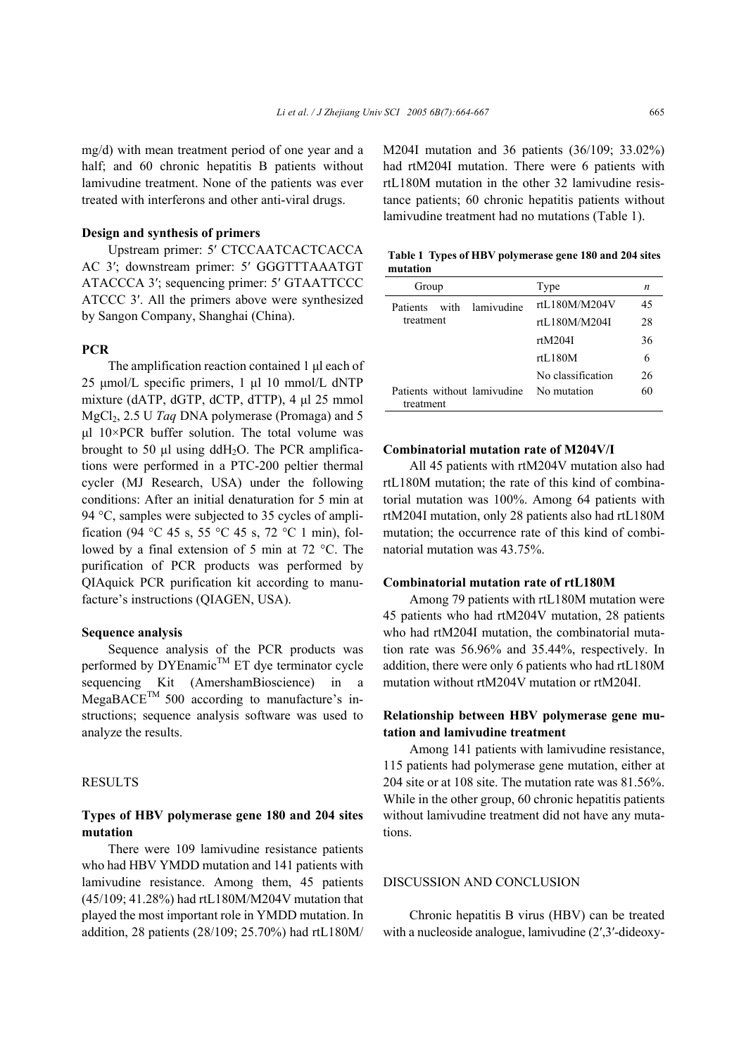mg/d) with mean treatment period of one year and a half; and 60 chronic hepatitis B patients without lamivudine treatment. None of the patients was ever treated with interferons and other anti-viral drugs.

## **Design and synthesis of primers**

Upstream primer: 5′ CTCCAATCACTCACCA AC 3′; downstream primer: 5′ GGGTTTAAATGT ATACCCA 3′; sequencing primer: 5′ GTAATTCCC ATCCC 3′. All the primers above were synthesized by Sangon Company, Shanghai (China).

# **PCR**

The amplification reaction contained 1 µl each of 25 µmol/L specific primers, 1 µl 10 mmol/L dNTP mixture (dATP, dGTP, dCTP, dTTP), 4 µl 25 mmol MgCl2, 2.5 U *Taq* DNA polymerase (Promaga) and 5  $ul$  10×PCR buffer solution. The total volume was brought to 50  $\mu$ l using ddH<sub>2</sub>O. The PCR amplifications were performed in a PTC-200 peltier thermal cycler (MJ Research, USA) under the following conditions: After an initial denaturation for 5 min at 94 °C, samples were subjected to 35 cycles of amplification (94 °C 45 s, 55 °C 45 s, 72 °C 1 min), followed by a final extension of 5 min at 72 °C. The purification of PCR products was performed by QIAquick PCR purification kit according to manufacture's instructions (QIAGEN, USA).

## **Sequence analysis**

Sequence analysis of the PCR products was performed by  $DYE$ namic<sup>TM</sup> ET dye terminator cycle sequencing Kit (AmershamBioscience) in a  $MegaBACE^{TM}$  500 according to manufacture's instructions; sequence analysis software was used to analyze the results.

## **RESULTS**

## **Types of HBV polymerase gene 180 and 204 sites mutation**

There were 109 lamivudine resistance patients who had HBV YMDD mutation and 141 patients with lamivudine resistance. Among them, 45 patients (45/109; 41.28%) had rtL180M/M204V mutation that played the most important role in YMDD mutation. In addition, 28 patients (28/109; 25.70%) had rtL180M/ M204I mutation and 36 patients (36/109; 33.02%) had rtM204I mutation. There were 6 patients with rtL180M mutation in the other 32 lamivudine resistance patients; 60 chronic hepatitis patients without lamivudine treatment had no mutations (Table 1).

|          | Table 1 Types of HBV polymerase gene 180 and 204 sites |  |
|----------|--------------------------------------------------------|--|
| mutation |                                                        |  |

| Group     |      |                             | Type              | n  |
|-----------|------|-----------------------------|-------------------|----|
| Patients  | with | lamivudine                  | rtL180M/M204V     | 45 |
| treatment |      |                             | rtL180M/M204I     | 28 |
|           |      |                             | rtM204I           | 36 |
|           |      |                             | rtL180M           | 6  |
|           |      |                             | No classification | 26 |
| treatment |      | Patients without lamivudine | No mutation       | 60 |

#### **Combinatorial mutation rate of M204V/I**

All 45 patients with rtM204V mutation also had rtL180M mutation; the rate of this kind of combinatorial mutation was 100%. Among 64 patients with rtM204I mutation, only 28 patients also had rtL180M mutation; the occurrence rate of this kind of combinatorial mutation was 43.75%.

## **Combinatorial mutation rate of rtL180M**

Among 79 patients with rtL180M mutation were 45 patients who had rtM204V mutation, 28 patients who had rtM204I mutation, the combinatorial mutation rate was 56.96% and 35.44%, respectively. In addition, there were only 6 patients who had rtL180M mutation without rtM204V mutation or rtM204I.

## **Relationship between HBV polymerase gene mutation and lamivudine treatment**

Among 141 patients with lamivudine resistance, 115 patients had polymerase gene mutation, either at 204 site or at 108 site. The mutation rate was 81.56%. While in the other group, 60 chronic hepatitis patients without lamivudine treatment did not have any mutations.

## DISCUSSION AND CONCLUSION

Chronic hepatitis B virus (HBV) can be treated with a nucleoside analogue, lamivudine (2′,3′-dideoxy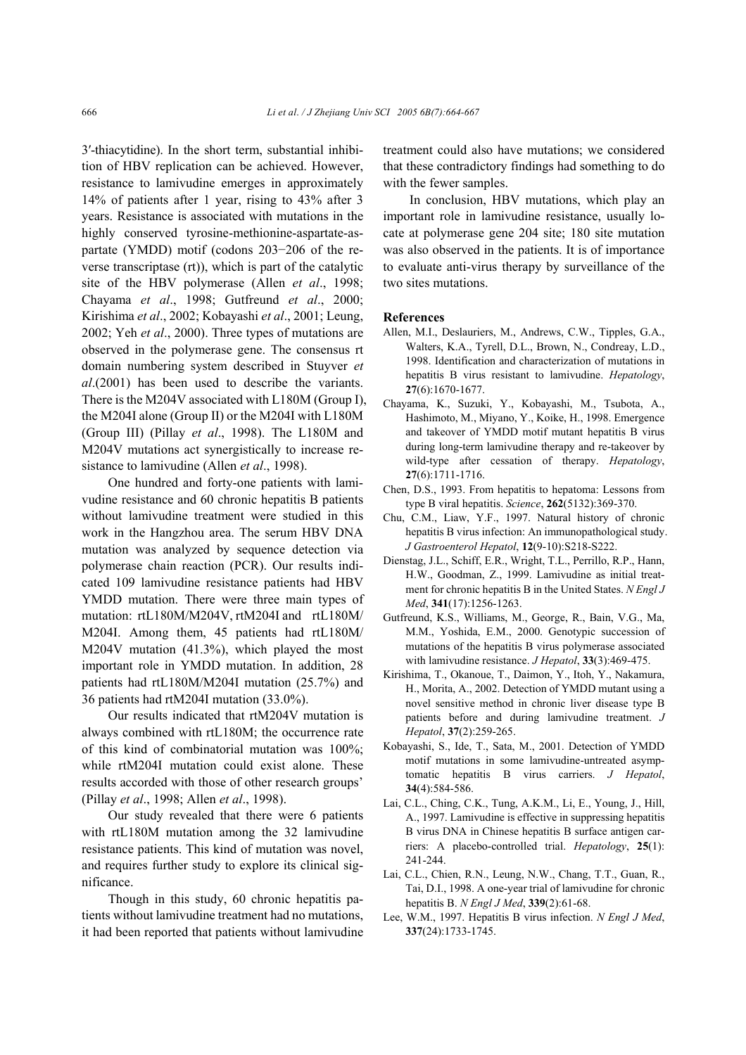3′-thiacytidine). In the short term, substantial inhibition of HBV replication can be achieved. However, resistance to lamivudine emerges in approximately 14% of patients after 1 year, rising to 43% after 3 years. Resistance is associated with mutations in the highly conserved tyrosine-methionine-aspartate-aspartate (YMDD) motif (codons 203−206 of the reverse transcriptase (rt)), which is part of the catalytic site of the HBV polymerase (Allen *et al*., 1998; Chayama *et al*., 1998; Gutfreund *et al*., 2000; Kirishima *et al*., 2002; Kobayashi *et al*., 2001; Leung, 2002; Yeh *et al*., 2000). Three types of mutations are observed in the polymerase gene. The consensus rt domain numbering system described in Stuyver *et al*.(2001) has been used to describe the variants. There is the M204V associated with L180M (Group I), the M204I alone (Group II) or the M204I with L180M (Group III) (Pillay *et al*., 1998). The L180M and M204V mutations act synergistically to increase resistance to lamivudine (Allen *et al*., 1998).

One hundred and forty-one patients with lamivudine resistance and 60 chronic hepatitis B patients without lamivudine treatment were studied in this work in the Hangzhou area. The serum HBV DNA mutation was analyzed by sequence detection via polymerase chain reaction (PCR). Our results indicated 109 lamivudine resistance patients had HBV YMDD mutation. There were three main types of mutation: rtL180M/M204V, rtM204I and rtL180M/ M204I. Among them, 45 patients had rtL180M/ M204V mutation (41.3%), which played the most important role in YMDD mutation. In addition, 28 patients had rtL180M/M204I mutation (25.7%) and 36 patients had rtM204I mutation (33.0%).

Our results indicated that rtM204V mutation is always combined with rtL180M; the occurrence rate of this kind of combinatorial mutation was 100%; while rtM204I mutation could exist alone. These results accorded with those of other research groups' (Pillay *et al*., 1998; Allen *et al*., 1998).

Our study revealed that there were 6 patients with rtL180M mutation among the 32 lamivudine resistance patients. This kind of mutation was novel, and requires further study to explore its clinical significance.

Though in this study, 60 chronic hepatitis patients without lamivudine treatment had no mutations, it had been reported that patients without lamivudine treatment could also have mutations; we considered that these contradictory findings had something to do with the fewer samples.

In conclusion, HBV mutations, which play an important role in lamivudine resistance, usually locate at polymerase gene 204 site; 180 site mutation was also observed in the patients. It is of importance to evaluate anti-virus therapy by surveillance of the two sites mutations.

## **References**

- Allen, M.I., Deslauriers, M., Andrews, C.W., Tipples, G.A., Walters, K.A., Tyrell, D.L., Brown, N., Condreay, L.D., 1998. Identification and characterization of mutations in hepatitis B virus resistant to lamivudine. *Hepatology*, **27**(6):1670-1677.
- Chayama, K., Suzuki, Y., Kobayashi, M., Tsubota, A., Hashimoto, M., Miyano, Y., Koike, H., 1998. Emergence and takeover of YMDD motif mutant hepatitis B virus during long-term lamivudine therapy and re-takeover by wild-type after cessation of therapy. *Hepatology*, **27**(6):1711-1716.
- Chen, D.S., 1993. From hepatitis to hepatoma: Lessons from type B viral hepatitis. *Science*, **262**(5132):369-370.
- Chu, C.M., Liaw, Y.F., 1997. Natural history of chronic hepatitis B virus infection: An immunopathological study. *J Gastroenterol Hepatol*, **12**(9-10):S218-S222.
- Dienstag, J.L., Schiff, E.R., Wright, T.L., Perrillo, R.P., Hann, H.W., Goodman, Z., 1999. Lamivudine as initial treatment for chronic hepatitis B in the United States. *N Engl J Med*, **341**(17):1256-1263.
- Gutfreund, K.S., Williams, M., George, R., Bain, V.G., Ma, M.M., Yoshida, E.M., 2000. Genotypic succession of mutations of the hepatitis B virus polymerase associated with lamivudine resistance. *J Hepatol*, **33**(3):469-475.
- Kirishima, T., Okanoue, T., Daimon, Y., Itoh, Y., Nakamura, H., Morita, A., 2002. Detection of YMDD mutant using a novel sensitive method in chronic liver disease type B patients before and during lamivudine treatment. *J Hepatol*, **37**(2):259-265.
- Kobayashi, S., Ide, T., Sata, M., 2001. Detection of YMDD motif mutations in some lamivudine-untreated asymptomatic hepatitis B virus carriers. *J Hepatol*, **34**(4):584-586.
- Lai, C.L., Ching, C.K., Tung, A.K.M., Li, E., Young, J., Hill, A., 1997. Lamivudine is effective in suppressing hepatitis B virus DNA in Chinese hepatitis B surface antigen carriers: A placebo-controlled trial. *Hepatology*, **25**(1): 241-244.
- Lai, C.L., Chien, R.N., Leung, N.W., Chang, T.T., Guan, R., Tai, D.I., 1998. A one-year trial of lamivudine for chronic hepatitis B. *N Engl J Med*, **339**(2):61-68.
- Lee, W.M., 1997. Hepatitis B virus infection. *N Engl J Med*, **337**(24):1733-1745.